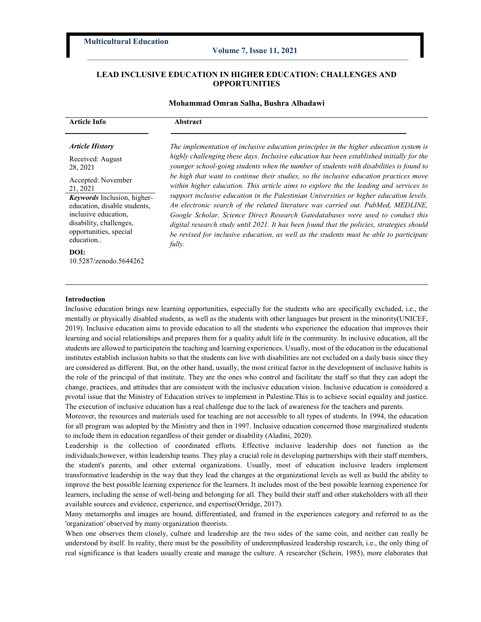### Volume 7, Issue 11, 2021

# LEAD INCLUSIVE EDUCATION IN HIGHER EDUCATION: CHALLENGES AND OPPORTUNITIES

## Mohammad Omran Salha, Bushra Albadawi

| <b>Article Info</b>                                                                                  | Abstract                                                                                                                                                                                                                                                                                                                                                                 |
|------------------------------------------------------------------------------------------------------|--------------------------------------------------------------------------------------------------------------------------------------------------------------------------------------------------------------------------------------------------------------------------------------------------------------------------------------------------------------------------|
| <b>Article History</b><br>Received: August<br>28, 2021                                               | The implementation of inclusive education principles in the higher education system is<br>highly challenging these days. Inclusive education has been established initially for the<br>younger school-going students when the number of students with disabilities is found to<br>be high that want to continue their studies, so the inclusive education practices move |
| Accepted: November<br>21, 2021<br><b>Keywords</b> Inclusion, higher-<br>education, disable students, | within higher education. This article aims to explore the the leading and services to<br>support inclusive education in the Palestinian Universities or higher education levels.<br>An electronic search of the related literature was carried out. PubMed, MEDLINE,                                                                                                     |
| inclusive education,<br>disability, challenges,<br>opportunities, special<br>education               | Google Scholar, Science Direct Research Gatedatabases were used to conduct this<br>digital research study until 2021. It has been found that the policies, strategies should<br>be revised for inclusive education, as well as the students must be able to participate<br>fully.                                                                                        |
| DOI:<br>10.5287/zenodo.5644262                                                                       |                                                                                                                                                                                                                                                                                                                                                                          |

### Introduction

Inclusive education brings new learning opportunities, especially for the students who are specifically excluded, i.e., the mentally or physically disabled students, as well as the students with other languages but present in the minority(UNICEF, 2019). Inclusive education aims to provide education to all the students who experience the education that improves their learning and social relationships and prepares them for a quality adult life in the community. In inclusive education, all the students are allowed to participatein the teaching and learning experiences. Usually, most of the education in the educational institutes establish inclusion habits so that the students can live with disabilities are not excluded on a daily basis since they are considered as different. But, on the other hand, usually, the most critical factor in the development of inclusive habits is the role of the principal of that institute. They are the ones who control and facilitate the staff so that they can adopt the change, practices, and attitudes that are consistent with the inclusive education vision. Inclusive education is considered a pivotal issue that the Ministry of Education strives to implement in Palestine.This is to achieve social equality and justice. The execution of inclusive education has a real challenge due to the lack of awareness for the teachers and parents.

Moreover, the resources and materials used for teaching are not accessible to all types of students. In 1994, the education for all program was adopted by the Ministry and then in 1997. Inclusive education concerned those marginalized students to include them in education regardless of their gender or disability (Aladini, 2020).

Leadership is the collection of coordinated efforts. Effective inclusive leadership does not function as the individuals;however, within leadership teams. They play a crucial role in developing partnerships with their staff members, the student's parents, and other external organizations. Usually, most of education inclusive leaders implement transformative leadership in the way that they lead the changes at the organizational levels as well as build the ability to improve the best possible learning experience for the learners. It includes most of the best possible learning experience for learners, including the sense of well-being and belonging for all. They build their staff and other stakeholders with all their available sources and evidence, experience, and expertise(Orridge, 2017).

Many metamorphs and images are bound, differentiated, and framed in the experiences category and referred to as the 'organization' observed by many organization theorists.

When one observes them closely, culture and leadership are the two sides of the same coin, and neither can really be understood by itself. In reality, there must be the possibility of underemphasized leadership research, i.e., the only thing of real significance is that leaders usually create and manage the culture. A researcher (Schein, 1985), more elaborates that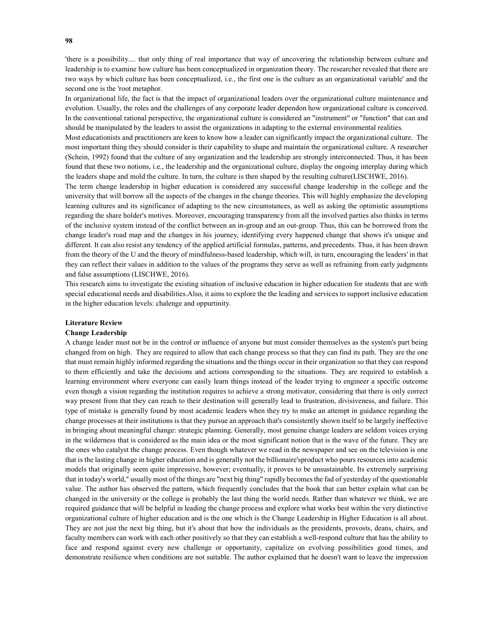'there is a possibility.... that only thing of real importance that way of uncovering the relationship between culture and leadership is to examine how culture has been conceptualized in organization theory. The researcher revealed that there are two ways by which culture has been conceptualized, i.e., the first one is the culture as an organizational variable' and the second one is the 'root metaphor.

In organizational life, the fact is that the impact of organizational leaders over the organizational culture maintenance and evolution. Usually, the roles and the challenges of any corporate leader dependon how organizational culture is conceived. In the conventional rational perspective, the organizational culture is considered an "instrument" or "function" that can and should be manipulated by the leaders to assist the organizations in adapting to the external environmental realities.

Most educationists and practitioners are keen to know how a leader can significantly impact the organizational culture. The most important thing they should consider is their capability to shape and maintain the organizational culture. A researcher (Schein, 1992) found that the culture of any organization and the leadership are strongly interconnected. Thus, it has been found that these two notions, i.e., the leadership and the organizational culture, display the ongoing interplay during which the leaders shape and mold the culture. In turn, the culture is then shaped by the resulting culture(LISCHWE, 2016).

The term change leadership in higher education is considered any successful change leadership in the college and the university that will borrow all the aspects of the changes in the change theories. This will highly emphasize the developing learning cultures and its significance of adapting to the new circumstances, as well as asking the optimistic assumptions regarding the share holder's motives. Moreover, encouraging transparency from all the involved parties also thinks in terms of the inclusive system instead of the conflict between an in-group and an out-group. Thus, this can be borrowed from the change leader's road map and the changes in his journey, identifying every happened change that shows it's unique and different. It can also resist any tendency of the applied artificial formulas, patterns, and precedents. Thus, it has been drawn from the theory of the U and the theory of mindfulness-based leadership, which will, in turn, encouraging the leaders' in that they can reflect their values in addition to the values of the programs they serve as well as refraining from early judgments and false assumptions (LISCHWE, 2016).

This research aims to investigate the existing situation of inclusive education in higher education for students that are with special educational needs and disabilities.Also, it aims to explore the the leading and services to support inclusive education in the higher education levels: chalenge and oppurtinity.

### Literature Review

#### Change Leadership

A change leader must not be in the control or influence of anyone but must consider themselves as the system's part being changed from on high. They are required to allow that each change process so that they can find its path. They are the one that must remain highly informed regarding the situations and the things occur in their organization so that they can respond to them efficiently and take the decisions and actions corresponding to the situations. They are required to establish a learning environment where everyone can easily learn things instead of the leader trying to engineer a specific outcome even though a vision regarding the institution requires to achieve a strong motivator, considering that there is only correct way present from that they can reach to their destination will generally lead to frustration, divisiveness, and failure. This type of mistake is generally found by most academic leaders when they try to make an attempt in guidance regarding the change processes at their institutions is that they pursue an approach that's consistently shown itself to be largely ineffective in bringing about meaningful change: strategic planning. Generally, most genuine change leaders are seldom voices crying in the wilderness that is considered as the main idea or the most significant notion that is the wave of the future. They are the ones who catalyst the change process. Even though whatever we read in the newspaper and see on the television is one that is the lasting change in higher education and is generally not the billionaire'sproduct who pours resources into academic models that originally seem quite impressive, however; eventually, it proves to be unsustainable. Its extremely surprising that in today's world," usually most of the things are "next big thing" rapidly becomes the fad of yesterday of the questionable value. The author has observed the pattern, which frequently concludes that the book that can better explain what can be changed in the university or the college is probably the last thing the world needs. Rather than whatever we think, we are required guidance that will be helpful in leading the change process and explore what works best within the very distinctive organizational culture of higher education and is the one which is the Change Leadership in Higher Education is all about. They are not just the next big thing, but it's about that how the individuals as the presidents, provosts, deans, chairs, and faculty members can work with each other positively so that they can establish a well-respond culture that has the ability to face and respond against every new challenge or opportunity, capitalize on evolving possibilities good times, and demonstrate resilience when conditions are not suitable. The author explained that he doesn't want to leave the impression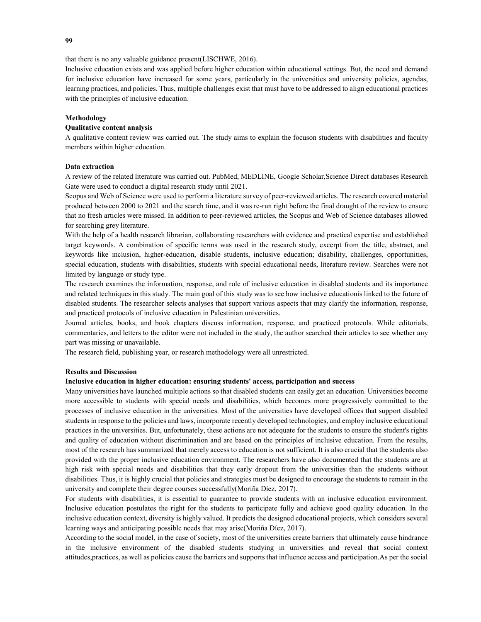that there is no any valuable guidance present(LISCHWE, 2016).

Inclusive education exists and was applied before higher education within educational settings. But, the need and demand for inclusive education have increased for some years, particularly in the universities and university policies, agendas, learning practices, and policies. Thus, multiple challenges exist that must have to be addressed to align educational practices with the principles of inclusive education.

#### Methodology

### Qualitative content analysis

A qualitative content review was carried out. The study aims to explain the focuson students with disabilities and faculty members within higher education.

### Data extraction

A review of the related literature was carried out. PubMed, MEDLINE, Google Scholar,Science Direct databases Research Gate were used to conduct a digital research study until 2021.

Scopus and Web of Science were used to perform a literature survey of peer-reviewed articles. The research covered material produced between 2000 to 2021 and the search time, and it was re-run right before the final draught of the review to ensure that no fresh articles were missed. In addition to peer-reviewed articles, the Scopus and Web of Science databases allowed for searching grey literature.

With the help of a health research librarian, collaborating researchers with evidence and practical expertise and established target keywords. A combination of specific terms was used in the research study, excerpt from the title, abstract, and keywords like inclusion, higher-education, disable students, inclusive education; disability, challenges, opportunities, special education, students with disabilities, students with special educational needs, literature review. Searches were not limited by language or study type.

The research examines the information, response, and role of inclusive education in disabled students and its importance and related techniques in this study. The main goal of this study was to see how inclusive educationis linked to the future of disabled students. The researcher selects analyses that support various aspects that may clarify the information, response, and practiced protocols of inclusive education in Palestinian universities.

Journal articles, books, and book chapters discuss information, response, and practiced protocols. While editorials, commentaries, and letters to the editor were not included in the study, the author searched their articles to see whether any part was missing or unavailable.

The research field, publishing year, or research methodology were all unrestricted.

## Results and Discussion

## Inclusive education in higher education: ensuring students' access, participation and success

Many universities have launched multiple actions so that disabled students can easily get an education. Universities become more accessible to students with special needs and disabilities, which becomes more progressively committed to the processes of inclusive education in the universities. Most of the universities have developed offices that support disabled students in response to the policies and laws, incorporate recently developed technologies, and employ inclusive educational practices in the universities. But, unfortunately, these actions are not adequate for the students to ensure the student's rights and quality of education without discrimination and are based on the principles of inclusive education. From the results, most of the research has summarized that merely access to education is not sufficient. It is also crucial that the students also provided with the proper inclusive education environment. The researchers have also documented that the students are at high risk with special needs and disabilities that they early dropout from the universities than the students without disabilities. Thus, it is highly crucial that policies and strategies must be designed to encourage the students to remain in the university and complete their degree courses successfully(Moriña Díez, 2017).

For students with disabilities, it is essential to guarantee to provide students with an inclusive education environment. Inclusive education postulates the right for the students to participate fully and achieve good quality education. In the inclusive education context, diversity is highly valued. It predicts the designed educational projects, which considers several learning ways and anticipating possible needs that may arise(Moriña Díez, 2017).

According to the social model, in the case of society, most of the universities create barriers that ultimately cause hindrance in the inclusive environment of the disabled students studying in universities and reveal that social context attitudes,practices, as well as policies cause the barriers and supports that influence access and participation.As per the social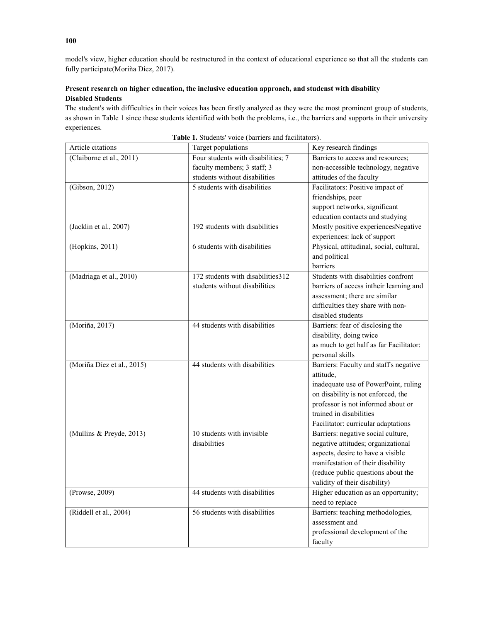model's view, higher education should be restructured in the context of educational experience so that all the students can fully participate(Moriña Díez, 2017).

# Present research on higher education, the inclusive education approach, and studenst with disability Disabled Students

The student's with difficulties in their voices has been firstly analyzed as they were the most prominent group of students, as shown in Table 1 since these students identified with both the problems, i.e., the barriers and supports in their university experiences.

| Article citations          | Target populations                 | Key research findings                    |
|----------------------------|------------------------------------|------------------------------------------|
| (Claiborne et al., 2011)   | Four students with disabilities; 7 | Barriers to access and resources;        |
|                            | faculty members; 3 staff; 3        | non-accessible technology, negative      |
|                            | students without disabilities      | attitudes of the faculty                 |
| (Gibson, 2012)             | 5 students with disabilities       | Facilitators: Positive impact of         |
|                            |                                    | friendships, peer                        |
|                            |                                    | support networks, significant            |
|                            |                                    | education contacts and studying          |
| (Jacklin et al., 2007)     | 192 students with disabilities     | Mostly positive experiencesNegative      |
|                            |                                    | experiences: lack of support             |
| (Hopkins, 2011)            | 6 students with disabilities       | Physical, attitudinal, social, cultural, |
|                            |                                    | and political                            |
|                            |                                    | barriers                                 |
| (Madriaga et al., 2010)    | 172 students with disabilities 312 | Students with disabilities confront      |
|                            | students without disabilities      | barriers of access intheir learning and  |
|                            |                                    | assessment; there are similar            |
|                            |                                    | difficulties they share with non-        |
|                            |                                    | disabled students                        |
| (Moriña, 2017)             | 44 students with disabilities      | Barriers: fear of disclosing the         |
|                            |                                    | disability, doing twice                  |
|                            |                                    | as much to get half as far Facilitator:  |
|                            |                                    | personal skills                          |
| (Moriña Díez et al., 2015) | 44 students with disabilities      | Barriers: Faculty and staff's negative   |
|                            |                                    | attitude,                                |
|                            |                                    | inadequate use of PowerPoint, ruling     |
|                            |                                    | on disability is not enforced, the       |
|                            |                                    | professor is not informed about or       |
|                            |                                    | trained in disabilities                  |
|                            |                                    | Facilitator: curricular adaptations      |
| (Mullins & Preyde, 2013)   | 10 students with invisible         | Barriers: negative social culture,       |
|                            | disabilities                       | negative attitudes; organizational       |
|                            |                                    | aspects, desire to have a visible        |
|                            |                                    | manifestation of their disability        |
|                            |                                    | (reduce public questions about the       |
|                            |                                    | validity of their disability)            |
| (Prowse, 2009)             | 44 students with disabilities      | Higher education as an opportunity;      |
|                            |                                    | need to replace                          |
| (Riddell et al., 2004)     | 56 students with disabilities      | Barriers: teaching methodologies,        |
|                            |                                    | assessment and                           |
|                            |                                    | professional development of the          |
|                            |                                    | faculty                                  |

Table 1. Students' voice (barriers and facilitators).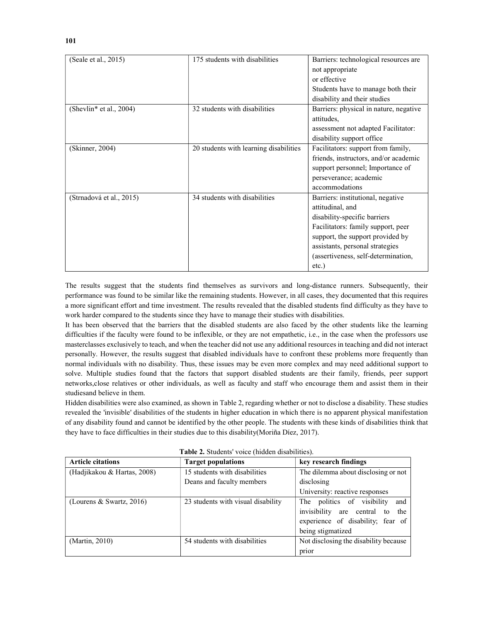| (Seale et al., 2015)     | 175 students with disabilities         | Barriers: technological resources are  |
|--------------------------|----------------------------------------|----------------------------------------|
|                          |                                        | not appropriate                        |
|                          |                                        | or effective                           |
|                          |                                        | Students have to manage both their     |
|                          |                                        | disability and their studies           |
| (Shevlin* et al., 2004)  | 32 students with disabilities          | Barriers: physical in nature, negative |
|                          |                                        | attitudes,                             |
|                          |                                        | assessment not adapted Facilitator:    |
|                          |                                        | disability support office              |
| (Skinner, 2004)          | 20 students with learning disabilities | Facilitators: support from family,     |
|                          |                                        | friends, instructors, and/or academic  |
|                          |                                        | support personnel; Importance of       |
|                          |                                        | perseverance; academic                 |
|                          |                                        | accommodations                         |
| (Strnadová et al., 2015) | 34 students with disabilities          | Barriers: institutional, negative      |
|                          |                                        | attitudinal, and                       |
|                          |                                        | disability-specific barriers           |
|                          |                                        | Facilitators: family support, peer     |
|                          |                                        | support, the support provided by       |
|                          |                                        | assistants, personal strategies        |
|                          |                                        | (assertiveness, self-determination,    |
|                          |                                        | etc.)                                  |

The results suggest that the students find themselves as survivors and long-distance runners. Subsequently, their performance was found to be similar like the remaining students. However, in all cases, they documented that this requires a more significant effort and time investment. The results revealed that the disabled students find difficulty as they have to work harder compared to the students since they have to manage their studies with disabilities.

It has been observed that the barriers that the disabled students are also faced by the other students like the learning difficulties if the faculty were found to be inflexible, or they are not empathetic, i.e., in the case when the professors use masterclasses exclusively to teach, and when the teacher did not use any additional resources in teaching and did not interact personally. However, the results suggest that disabled individuals have to confront these problems more frequently than normal individuals with no disability. Thus, these issues may be even more complex and may need additional support to solve. Multiple studies found that the factors that support disabled students are their family, friends, peer support networks,close relatives or other individuals, as well as faculty and staff who encourage them and assist them in their studiesand believe in them.

Hidden disabilities were also examined, as shown in Table 2, regarding whether or not to disclose a disability. These studies revealed the 'invisible' disabilities of the students in higher education in which there is no apparent physical manifestation of any disability found and cannot be identified by the other people. The students with these kinds of disabilities think that they have to face difficulties in their studies due to this disability(Moriña Díez, 2017).

| <b>Article citations</b>    | <b>Target populations</b>          | key research findings                 |
|-----------------------------|------------------------------------|---------------------------------------|
| (Hadjikakou & Hartas, 2008) | 15 students with disabilities      | The dilemma about disclosing or not   |
|                             | Deans and faculty members          | disclosing                            |
|                             |                                    | University: reactive responses        |
| (Lourens & Swartz, 2016)    | 23 students with visual disability | The politics of visibility<br>and     |
|                             |                                    | invisibility are central to<br>the    |
|                             |                                    | experience of disability; fear of     |
|                             |                                    | being stigmatized                     |
| (Martin, 2010)              | 54 students with disabilities      | Not disclosing the disability because |
|                             |                                    | prior                                 |

| Table 2. Students' voice (hidden disabilities). |  |
|-------------------------------------------------|--|
|-------------------------------------------------|--|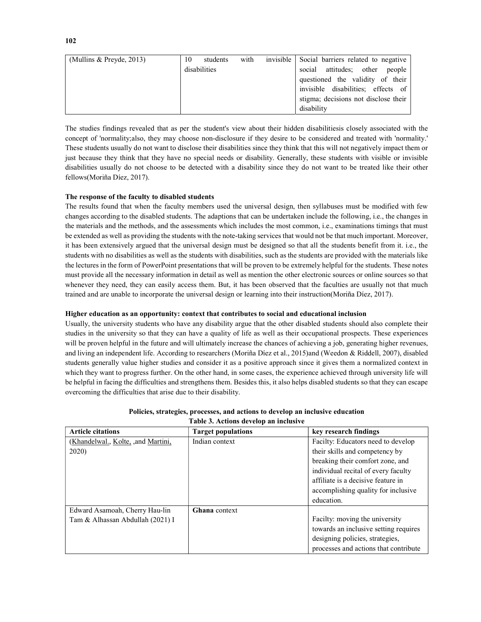| (Mullins $&$ Preyde, 2013) | 10 | students     | with | invisible Social barriers related to negative |
|----------------------------|----|--------------|------|-----------------------------------------------|
|                            |    | disabilities |      | social attitudes; other<br>people             |
|                            |    |              |      | questioned the validity of their              |
|                            |    |              |      | invisible disabilities; effects of            |
|                            |    |              |      | stigma; decisions not disclose their          |
|                            |    |              |      | disability                                    |

The studies findings revealed that as per the student's view about their hidden disabilitiesis closely associated with the concept of 'normality;also, they may choose non-disclosure if they desire to be considered and treated with 'normality.' These students usually do not want to disclose their disabilities since they think that this will not negatively impact them or just because they think that they have no special needs or disability. Generally, these students with visible or invisible disabilities usually do not choose to be detected with a disability since they do not want to be treated like their other fellows(Moriña Díez, 2017).

# The response of the faculty to disabled students

The results found that when the faculty members used the universal design, then syllabuses must be modified with few changes according to the disabled students. The adaptions that can be undertaken include the following, i.e., the changes in the materials and the methods, and the assessments which includes the most common, i.e., examinations timings that must be extended as well as providing the students with the note-taking services that would not be that much important. Moreover, it has been extensively argued that the universal design must be designed so that all the students benefit from it. i.e., the students with no disabilities as well as the students with disabilities, such as the students are provided with the materials like the lectures in the form of PowerPoint presentations that will be proven to be extremely helpful for the students. These notes must provide all the necessary information in detail as well as mention the other electronic sources or online sources so that whenever they need, they can easily access them. But, it has been observed that the faculties are usually not that much trained and are unable to incorporate the universal design or learning into their instruction(Moriña Díez, 2017).

# Higher education as an opportunity: context that contributes to social and educational inclusion

Usually, the university students who have any disability argue that the other disabled students should also complete their studies in the university so that they can have a quality of life as well as their occupational prospects. These experiences will be proven helpful in the future and will ultimately increase the chances of achieving a job, generating higher revenues, and living an independent life. According to researchers (Moriña Díez et al., 2015)and (Weedon & Riddell, 2007), disabled students generally value higher studies and consider it as a positive approach since it gives them a normalized context in which they want to progress further. On the other hand, in some cases, the experience achieved through university life will be helpful in facing the difficulties and strengthens them. Besides this, it also helps disabled students so that they can escape overcoming the difficulties that arise due to their disability.

| <b>Article citations</b>            | <b>Target populations</b> | key research findings                 |
|-------------------------------------|---------------------------|---------------------------------------|
| (Khandelwal., Kolte, , and Martini, | Indian context            | Facilty: Educators need to develop    |
| 2020)                               |                           | their skills and competency by        |
|                                     |                           | breaking their comfort zone, and      |
|                                     |                           | individual recital of every faculty   |
|                                     |                           | affiliate is a decisive feature in    |
|                                     |                           | accomplishing quality for inclusive   |
|                                     |                           | education.                            |
| Edward Asamoah, Cherry Hau-lin      | <b>Ghana</b> context      |                                       |
| Tam & Alhassan Abdullah (2021) I    |                           | Facilty: moving the university        |
|                                     |                           | towards an inclusive setting requires |
|                                     |                           | designing policies, strategies,       |
|                                     |                           | processes and actions that contribute |

## Policies, strategies, processes, and actions to develop an inclusive education Table 3. Actions develop an inclusive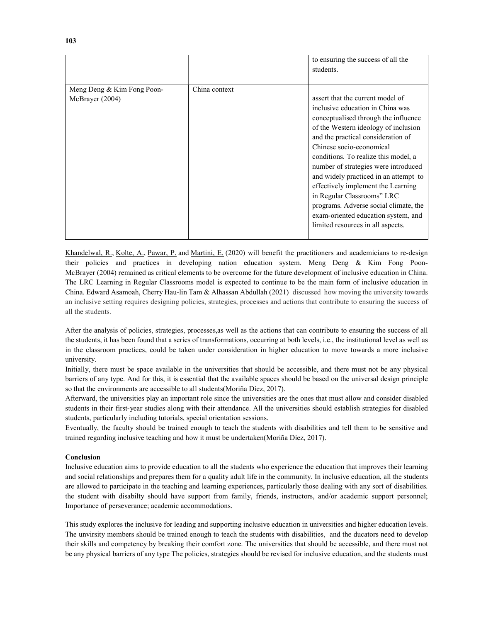|                            |               | to ensuring the success of all the<br>students. |
|----------------------------|---------------|-------------------------------------------------|
|                            |               |                                                 |
| Meng Deng & Kim Fong Poon- | China context |                                                 |
| McBrayer (2004)            |               | assert that the current model of                |
|                            |               | inclusive education in China was                |
|                            |               | conceptualised through the influence            |
|                            |               | of the Western ideology of inclusion            |
|                            |               | and the practical consideration of              |
|                            |               | Chinese socio-economical                        |
|                            |               | conditions. To realize this model, a            |
|                            |               | number of strategies were introduced            |
|                            |               | and widely practiced in an attempt to           |
|                            |               | effectively implement the Learning              |
|                            |               | in Regular Classrooms" LRC                      |
|                            |               | programs. Adverse social climate, the           |
|                            |               | exam-oriented education system, and             |
|                            |               | limited resources in all aspects.               |
|                            |               |                                                 |

Khandelwal, R., Kolte, A., Pawar, P. and Martini, E. (2020) will benefit the practitioners and academicians to re-design their policies and practices in developing nation education system. Meng Deng & Kim Fong Poon-McBrayer (2004) remained as critical elements to be overcome for the future development of inclusive education in China. The LRC Learning in Regular Classrooms model is expected to continue to be the main form of inclusive education in China. Edward Asamoah, Cherry Hau-lin Tam & Alhassan Abdullah (2021) discussed how moving the university towards an inclusive setting requires designing policies, strategies, processes and actions that contribute to ensuring the success of all the students.

After the analysis of policies, strategies, processes,as well as the actions that can contribute to ensuring the success of all the students, it has been found that a series of transformations, occurring at both levels, i.e., the institutional level as well as in the classroom practices, could be taken under consideration in higher education to move towards a more inclusive university.

Initially, there must be space available in the universities that should be accessible, and there must not be any physical barriers of any type. And for this, it is essential that the available spaces should be based on the universal design principle so that the environments are accessible to all students(Moriña Díez, 2017).

Afterward, the universities play an important role since the universities are the ones that must allow and consider disabled students in their first-year studies along with their attendance. All the universities should establish strategies for disabled students, particularly including tutorials, special orientation sessions.

Eventually, the faculty should be trained enough to teach the students with disabilities and tell them to be sensitive and trained regarding inclusive teaching and how it must be undertaken(Moriña Díez, 2017).

## Conclusion

Inclusive education aims to provide education to all the students who experience the education that improves their learning and social relationships and prepares them for a quality adult life in the community. In inclusive education, all the students are allowed to participate in the teaching and learning experiences, particularly those dealing with any sort of disabilities. the student with disabilty should have support from family, friends, instructors, and/or academic support personnel; Importance of perseverance; academic accommodations.

This study explores the inclusive for leading and supporting inclusive education in universities and higher education levels. The unvirsity members should be trained enough to teach the students with disabilities, and the ducators need to develop their skills and competency by breaking their comfort zone. The universities that should be accessible, and there must not be any physical barriers of any type The policies, strategies should be revised for inclusive education, and the students must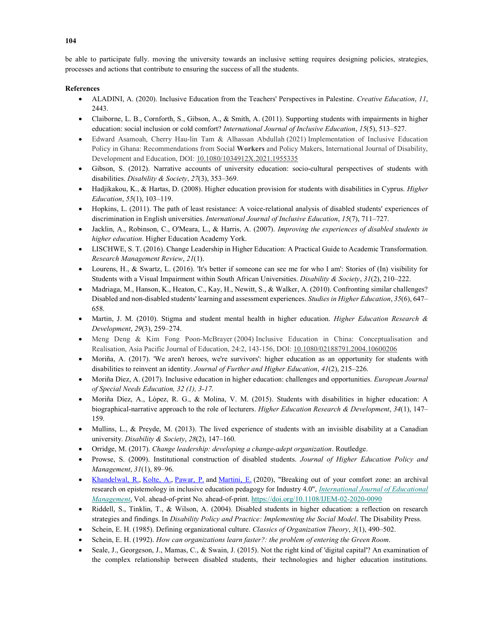be able to participate fully. moving the university towards an inclusive setting requires designing policies, strategies, processes and actions that contribute to ensuring the success of all the students.

## References

- ALADINI, A. (2020). Inclusive Education from the Teachers' Perspectives in Palestine. Creative Education, 11, 2443.
- Claiborne, L. B., Cornforth, S., Gibson, A., & Smith, A. (2011). Supporting students with impairments in higher education: social inclusion or cold comfort? International Journal of Inclusive Education, 15(5), 513–527.
- Edward Asamoah, Cherry Hau-lin Tam & Alhassan Abdullah (2021) Implementation of Inclusive Education Policy in Ghana: Recommendations from Social Workers and Policy Makers, International Journal of Disability, Development and Education, DOI: 10.1080/1034912X.2021.1955335
- Gibson, S. (2012). Narrative accounts of university education: socio-cultural perspectives of students with disabilities. Disability & Society, 27(3), 353-369.
- Hadjikakou, K., & Hartas, D. (2008). Higher education provision for students with disabilities in Cyprus. Higher Education, 55(1), 103–119.
- Hopkins, L. (2011). The path of least resistance: A voice-relational analysis of disabled students' experiences of discrimination in English universities. International Journal of Inclusive Education, 15(7), 711–727.
- Jacklin, A., Robinson, C., O'Meara, L., & Harris, A. (2007). Improving the experiences of disabled students in higher education. Higher Education Academy York.
- LISCHWE, S. T. (2016). Change Leadership in Higher Education: A Practical Guide to Academic Transformation. Research Management Review, 21(1).
- Lourens, H., & Swartz, L. (2016). 'It's better if someone can see me for who I am': Stories of (In) visibility for Students with a Visual Impairment within South African Universities. Disability & Society, 31(2), 210–222.
- Madriaga, M., Hanson, K., Heaton, C., Kay, H., Newitt, S., & Walker, A. (2010). Confronting similar challenges? Disabled and non-disabled students' learning and assessment experiences. Studies in Higher Education, 35(6), 647– 658.
- Martin, J. M. (2010). Stigma and student mental health in higher education. *Higher Education Research &* Development, 29(3), 259–274.
- Meng Deng & Kim Fong Poon-McBrayer (2004) Inclusive Education in China: Conceptualisation and Realisation, Asia Pacific Journal of Education, 24:2, 143-156, DOI: 10.1080/02188791.2004.10600206
- Moriña, A. (2017). 'We aren't heroes, we're survivors': higher education as an opportunity for students with disabilities to reinvent an identity. Journal of Further and Higher Education, 41(2), 215–226.
- Moriña Díez, A. (2017). Inclusive education in higher education: challenges and opportunities. European Journal of Special Needs Education, 32 (1), 3-17.
- Moriña Díez, A., López, R. G., & Molina, V. M. (2015). Students with disabilities in higher education: A biographical-narrative approach to the role of lecturers. Higher Education Research & Development, 34(1), 147– 159.
- Mullins, L., & Preyde, M. (2013). The lived experience of students with an invisible disability at a Canadian university. Disability & Society, 28(2), 147-160.
- Orridge, M. (2017). Change leadership: developing a change-adept organization. Routledge.
- Prowse, S. (2009). Institutional construction of disabled students. Journal of Higher Education Policy and Management, 31(1), 89–96.
- Khandelwal, R., Kolte, A., Pawar, P. and Martini, E. (2020), "Breaking out of your comfort zone: an archival research on epistemology in inclusive education pedagogy for Industry 4.0", International Journal of Educational Management, Vol. ahead-of-print No. ahead-of-print. https://doi.org/10.1108/IJEM-02-2020-0090
- Riddell, S., Tinklin, T., & Wilson, A. (2004). Disabled students in higher education: a reflection on research strategies and findings. In Disability Policy and Practice: Implementing the Social Model. The Disability Press.
- Schein, E. H. (1985). Defining organizational culture. Classics of Organization Theory, 3(1), 490–502.
- Schein, E. H. (1992). How can organizations learn faster?: the problem of entering the Green Room.
- Seale, J., Georgeson, J., Mamas, C., & Swain, J. (2015). Not the right kind of 'digital capital'? An examination of the complex relationship between disabled students, their technologies and higher education institutions.